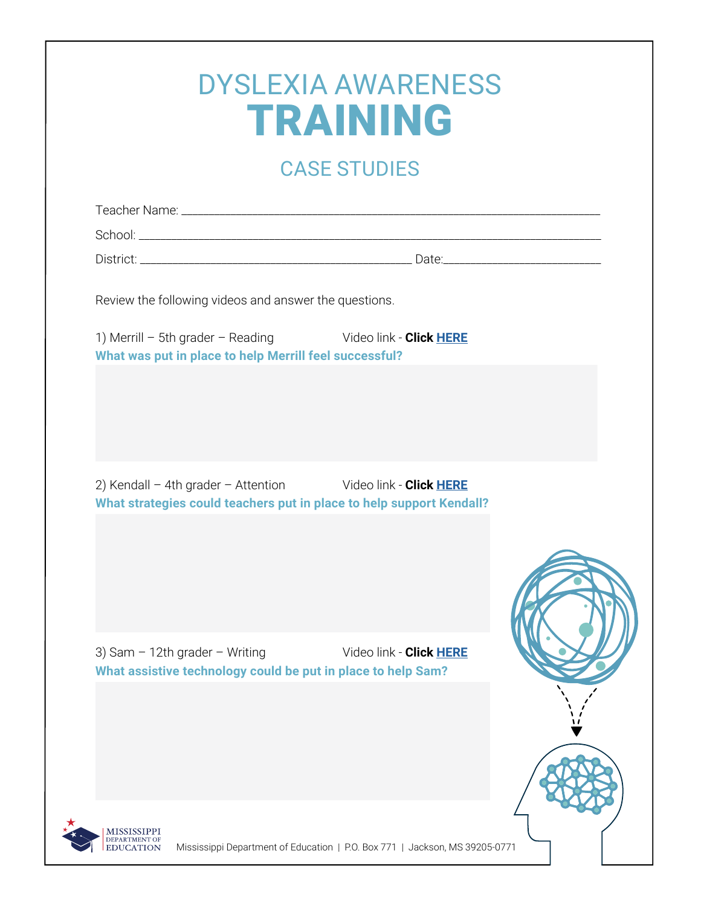|                                                        | <b>DYSLEXIA AWARENESS</b><br><b>TRAINING</b>                         |  |
|--------------------------------------------------------|----------------------------------------------------------------------|--|
|                                                        | <b>CASE STUDIES</b>                                                  |  |
|                                                        |                                                                      |  |
|                                                        |                                                                      |  |
|                                                        |                                                                      |  |
|                                                        |                                                                      |  |
| Review the following videos and answer the questions.  |                                                                      |  |
| What was put in place to help Merrill feel successful? | 1) Merrill - 5th grader - Reading Video link - Click HERE            |  |
|                                                        |                                                                      |  |
|                                                        |                                                                      |  |
|                                                        |                                                                      |  |
|                                                        | 2) Kendall - 4th grader - Attention Video link - Click HERE          |  |
|                                                        | What strategies could teachers put in place to help support Kendall? |  |
|                                                        |                                                                      |  |
|                                                        |                                                                      |  |
|                                                        |                                                                      |  |
| 3) Sam $-12$ th grader $-$ Writing                     | Video link - Click HERE                                              |  |
|                                                        | What assistive technology could be put in place to help Sam?         |  |
|                                                        |                                                                      |  |
|                                                        |                                                                      |  |
|                                                        |                                                                      |  |
|                                                        |                                                                      |  |
|                                                        |                                                                      |  |